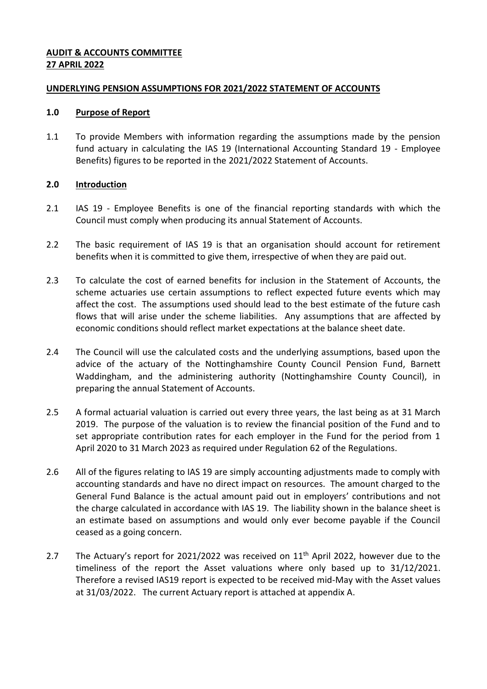### **AUDIT & ACCOUNTS COMMITTEE 27 APRIL 2022**

#### **UNDERLYING PENSION ASSUMPTIONS FOR 2021/2022 STATEMENT OF ACCOUNTS**

#### **1.0 Purpose of Report**

1.1 To provide Members with information regarding the assumptions made by the pension fund actuary in calculating the IAS 19 (International Accounting Standard 19 - Employee Benefits) figures to be reported in the 2021/2022 Statement of Accounts.

## **2.0 Introduction**

- 2.1 IAS 19 Employee Benefits is one of the financial reporting standards with which the Council must comply when producing its annual Statement of Accounts.
- 2.2 The basic requirement of IAS 19 is that an organisation should account for retirement benefits when it is committed to give them, irrespective of when they are paid out.
- 2.3 To calculate the cost of earned benefits for inclusion in the Statement of Accounts, the scheme actuaries use certain assumptions to reflect expected future events which may affect the cost. The assumptions used should lead to the best estimate of the future cash flows that will arise under the scheme liabilities. Any assumptions that are affected by economic conditions should reflect market expectations at the balance sheet date.
- 2.4 The Council will use the calculated costs and the underlying assumptions, based upon the advice of the actuary of the Nottinghamshire County Council Pension Fund, Barnett Waddingham, and the administering authority (Nottinghamshire County Council), in preparing the annual Statement of Accounts.
- 2.5 A formal actuarial valuation is carried out every three years, the last being as at 31 March 2019. The purpose of the valuation is to review the financial position of the Fund and to set appropriate contribution rates for each employer in the Fund for the period from 1 April 2020 to 31 March 2023 as required under Regulation 62 of the Regulations.
- 2.6 All of the figures relating to IAS 19 are simply accounting adjustments made to comply with accounting standards and have no direct impact on resources. The amount charged to the General Fund Balance is the actual amount paid out in employers' contributions and not the charge calculated in accordance with IAS 19. The liability shown in the balance sheet is an estimate based on assumptions and would only ever become payable if the Council ceased as a going concern.
- 2.7 The Actuary's report for 2021/2022 was received on  $11<sup>th</sup>$  April 2022, however due to the timeliness of the report the Asset valuations where only based up to 31/12/2021. Therefore a revised IAS19 report is expected to be received mid-May with the Asset values at 31/03/2022. The current Actuary report is attached at appendix A.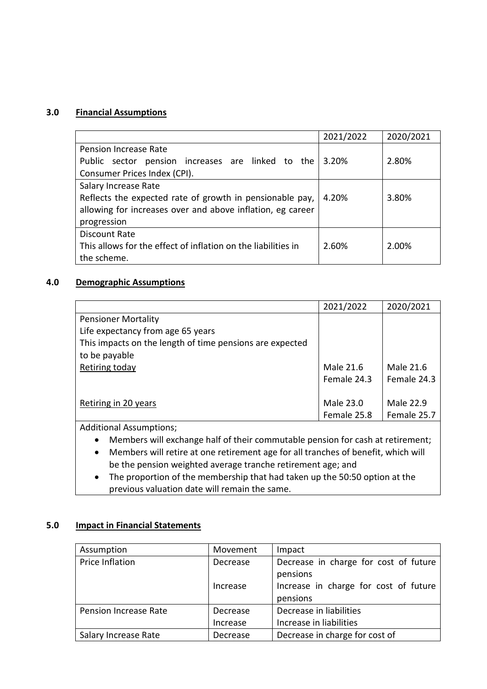### **3.0 Financial Assumptions**

|                                                               | 2021/2022 | 2020/2021 |
|---------------------------------------------------------------|-----------|-----------|
| Pension Increase Rate                                         |           |           |
| Public sector pension increases are linked to the             | 3.20%     | 2.80%     |
| Consumer Prices Index (CPI).                                  |           |           |
| Salary Increase Rate                                          |           |           |
| Reflects the expected rate of growth in pensionable pay,      | 4.20%     | 3.80%     |
| allowing for increases over and above inflation, eg career    |           |           |
| progression                                                   |           |           |
| Discount Rate                                                 |           |           |
| This allows for the effect of inflation on the liabilities in | 2.60%     | 2.00%     |
| the scheme.                                                   |           |           |

### **4.0 Demographic Assumptions**

|                                                          | 2021/2022   | 2020/2021   |
|----------------------------------------------------------|-------------|-------------|
| <b>Pensioner Mortality</b>                               |             |             |
| Life expectancy from age 65 years                        |             |             |
| This impacts on the length of time pensions are expected |             |             |
| to be payable                                            |             |             |
| Retiring today                                           | Male 21.6   | Male 21.6   |
|                                                          | Female 24.3 | Female 24.3 |
|                                                          |             |             |
| Retiring in 20 years                                     | Male 23.0   | Male 22.9   |
|                                                          | Female 25.8 | Female 25.7 |
|                                                          |             |             |

Additional Assumptions;

- Members will exchange half of their commutable pension for cash at retirement;
- Members will retire at one retirement age for all tranches of benefit, which will be the pension weighted average tranche retirement age; and
- The proportion of the membership that had taken up the 50:50 option at the previous valuation date will remain the same.

#### **5.0 Impact in Financial Statements**

| Assumption            | Movement | Impact                                |
|-----------------------|----------|---------------------------------------|
| Price Inflation       | Decrease | Decrease in charge for cost of future |
|                       |          | pensions                              |
|                       | Increase | Increase in charge for cost of future |
|                       |          | pensions                              |
| Pension Increase Rate | Decrease | Decrease in liabilities               |
|                       | Increase | Increase in liabilities               |
| Salary Increase Rate  | Decrease | Decrease in charge for cost of        |